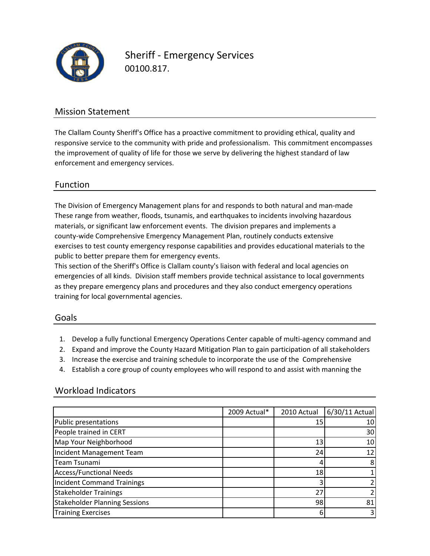

Sheriff ‐ Emergency Services 00100.817.

# Mission Statement

The Clallam County Sheriff's Office has a proactive commitment to providing ethical, quality and responsive service to the community with pride and professionalism. This commitment encompasses the improvement of quality of life for those we serve by delivering the highest standard of law enforcement and emergency services.

## Function

exercises to test county emergency response capabilities and provides educational materials to the The Division of Emergency Management plans for and responds to both natural and man‐made These range from weather, floods, tsunamis, and earthquakes to incidents involving hazardous materials, or significant law enforcement events. The division prepares and implements a county‐wide Comprehensive Emergency Management Plan, routinely conducts extensive public to better prepare them for emergency events.

This section of the Sheriff's Office is Clallam county's liaison with federal and local agencies on emergencies of all kinds. Division staff members provide technical assistance to local governments as they prepare emergency plans and procedures and they also conduct emergency operations training for local governmental agencies.

## Goals

- 1. Develop a fully functional Emergency Operations Center capable of multi‐agency command and
- 2. Expand and improve the County Hazard Mitigation Plan to gain participation of all stakeholders
- 3. Increase the exercise and training schedule to incorporate the use of the Comprehensive
- 4. Establish a core group of county employees who will respond to and assist with manning the

## Workload Indicators

|                                      | 2009 Actual* | 2010 Actual | $6/30/11$ Actual |
|--------------------------------------|--------------|-------------|------------------|
| Public presentations                 |              | 15          | 10               |
| People trained in CERT               |              |             | 30               |
| Map Your Neighborhood                |              | 13          | 10               |
| Incident Management Team             |              | 24          | 12               |
| Team Tsunami                         |              | 4           | 8                |
| <b>Access/Functional Needs</b>       |              | 18          |                  |
| <b>Incident Command Trainings</b>    |              |             |                  |
| <b>Stakeholder Trainings</b>         |              | 27          |                  |
| <b>Stakeholder Planning Sessions</b> |              | 98          | 81               |
| <b>Training Exercises</b>            |              | 6           |                  |